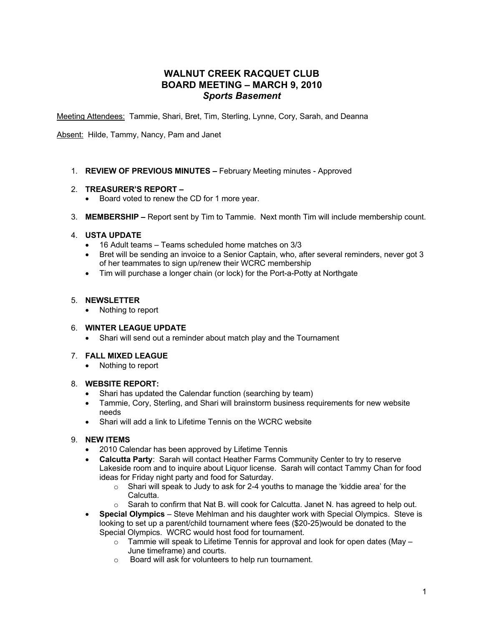# **WALNUT CREEK RACQUET CLUB BOARD MEETING – MARCH 9, 2010** *Sports Basement*

Meeting Attendees: Tammie, Shari, Bret, Tim, Sterling, Lynne, Cory, Sarah, and Deanna

Absent: Hilde, Tammy, Nancy, Pam and Janet

1. **REVIEW OF PREVIOUS MINUTES –** February Meeting minutes - Approved

#### 2. **TREASURER'S REPORT –**

- Board voted to renew the CD for 1 more year.
- 3. **MEMBERSHIP –** Report sent by Tim to Tammie. Next month Tim will include membership count.

### 4. **USTA UPDATE**

- 16 Adult teams Teams scheduled home matches on 3/3
- Bret will be sending an invoice to a Senior Captain, who, after several reminders, never got 3 of her teammates to sign up/renew their WCRC membership
- Tim will purchase a longer chain (or lock) for the Port-a-Potty at Northgate

#### 5. **NEWSLETTER**

• Nothing to report

# 6. **WINTER LEAGUE UPDATE**

• Shari will send out a reminder about match play and the Tournament

# 7. **FALL MIXED LEAGUE**

• Nothing to report

#### 8. **WEBSITE REPORT:**

- Shari has updated the Calendar function (searching by team)
- Tammie, Cory, Sterling, and Shari will brainstorm business requirements for new website needs
- Shari will add a link to Lifetime Tennis on the WCRC website

# 9. **NEW ITEMS**

- 2010 Calendar has been approved by Lifetime Tennis
- **Calcutta Party**: Sarah will contact Heather Farms Community Center to try to reserve Lakeside room and to inquire about Liquor license. Sarah will contact Tammy Chan for food ideas for Friday night party and food for Saturday.
	- $\circ$  Shari will speak to Judy to ask for 2-4 youths to manage the 'kiddie area' for the Calcutta.
	- $\circ$  Sarah to confirm that Nat B. will cook for Calcutta. Janet N. has agreed to help out.
- **Special Olympics** Steve Mehlman and his daughter work with Special Olympics. Steve is looking to set up a parent/child tournament where fees (\$20-25)would be donated to the Special Olympics. WCRC would host food for tournament.
	- $\circ$  Tammie will speak to Lifetime Tennis for approval and look for open dates (May June timeframe) and courts.
	- o Board will ask for volunteers to help run tournament.